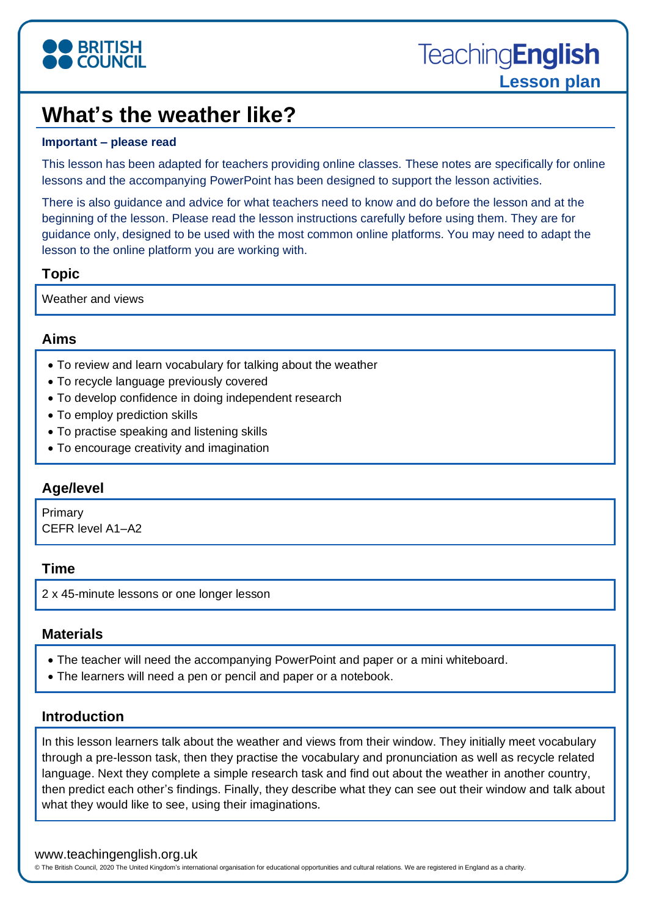

# **What's the weather like?**

#### **Important – please read**

This lesson has been adapted for teachers providing online classes. These notes are specifically for online lessons and the accompanying PowerPoint has been designed to support the lesson activities.

There is also guidance and advice for what teachers need to know and do before the lesson and at the beginning of the lesson. Please read the lesson instructions carefully before using them. They are for guidance only, designed to be used with the most common online platforms. You may need to adapt the lesson to the online platform you are working with.

## **Topic**

Weather and views

## **Aims**

- To review and learn vocabulary for talking about the weather
- To recycle language previously covered
- To develop confidence in doing independent research
- To employ prediction skills
- To practise speaking and listening skills
- To encourage creativity and imagination

# **Age/level**

Primary CEFR level A1–A2

#### **Time**

2 x 45-minute lessons or one longer lesson

## **Materials**

- The teacher will need the accompanying PowerPoint and paper or a mini whiteboard.
- The learners will need a pen or pencil and paper or a notebook.

# **Introduction**

In this lesson learners talk about the weather and views from their window. They initially meet vocabulary through a pre-lesson task, then they practise the vocabulary and pronunciation as well as recycle related language. Next they complete a simple research task and find out about the weather in another country, then predict each other's findings. Finally, they describe what they can see out their window and talk about what they would like to see, using their imaginations.

#### www.teachingenglish.org.uk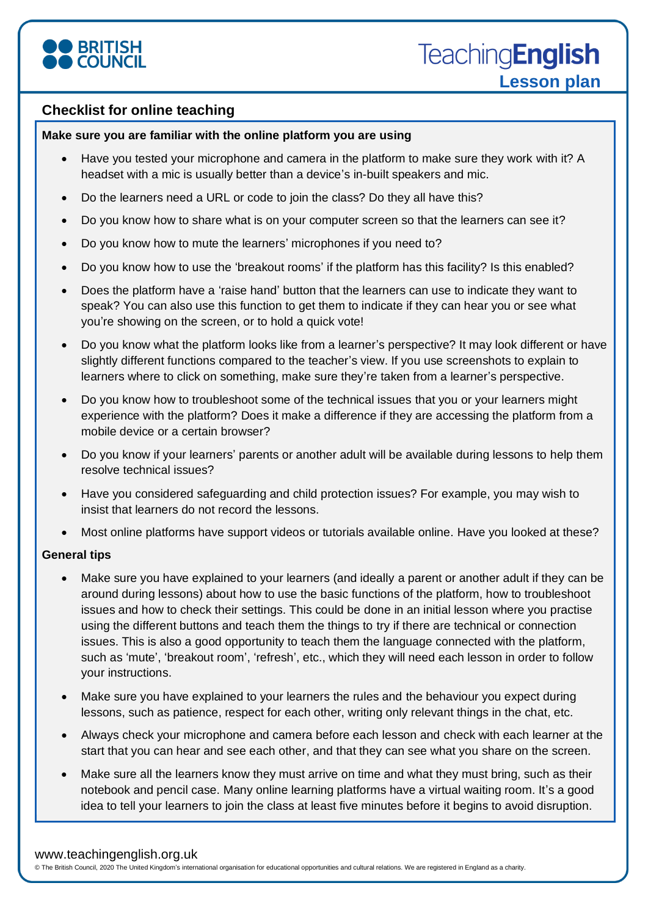

# **Checklist for online teaching**

#### **Make sure you are familiar with the online platform you are using**

- Have you tested your microphone and camera in the platform to make sure they work with it? A headset with a mic is usually better than a device's in-built speakers and mic.
- Do the learners need a URL or code to join the class? Do they all have this?
- Do you know how to share what is on your computer screen so that the learners can see it?
- Do you know how to mute the learners' microphones if you need to?
- Do you know how to use the 'breakout rooms' if the platform has this facility? Is this enabled?
- Does the platform have a 'raise hand' button that the learners can use to indicate they want to speak? You can also use this function to get them to indicate if they can hear you or see what you're showing on the screen, or to hold a quick vote!
- Do you know what the platform looks like from a learner's perspective? It may look different or have slightly different functions compared to the teacher's view. If you use screenshots to explain to learners where to click on something, make sure they're taken from a learner's perspective.
- Do you know how to troubleshoot some of the technical issues that you or your learners might experience with the platform? Does it make a difference if they are accessing the platform from a mobile device or a certain browser?
- Do you know if your learners' parents or another adult will be available during lessons to help them resolve technical issues?
- Have you considered safeguarding and child protection issues? For example, you may wish to insist that learners do not record the lessons.
- Most online platforms have support videos or tutorials available online. Have you looked at these?

#### **General tips**

- Make sure you have explained to your learners (and ideally a parent or another adult if they can be around during lessons) about how to use the basic functions of the platform, how to troubleshoot issues and how to check their settings. This could be done in an initial lesson where you practise using the different buttons and teach them the things to try if there are technical or connection issues. This is also a good opportunity to teach them the language connected with the platform, such as 'mute', 'breakout room', 'refresh', etc., which they will need each lesson in order to follow your instructions.
- Make sure you have explained to your learners the rules and the behaviour you expect during lessons, such as patience, respect for each other, writing only relevant things in the chat, etc.
- Always check your microphone and camera before each lesson and check with each learner at the start that you can hear and see each other, and that they can see what you share on the screen.
- Make sure all the learners know they must arrive on time and what they must bring, such as their notebook and pencil case. Many online learning platforms have a virtual waiting room. It's a good idea to tell your learners to join the class at least five minutes before it begins to avoid disruption.

#### www.teachingenglish.org.uk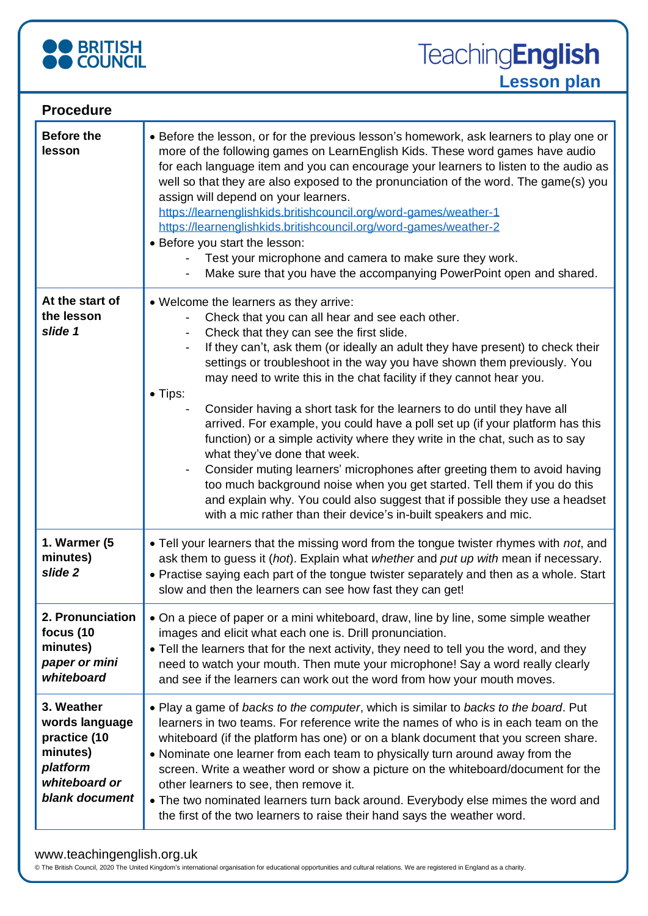

| <b>Procedure</b>                                                                                        |                                                                                                                                                                                                                                                                                                                                                                                                                                                                                                                                                                                                                                                                                                                                                                                                                                                                                                                                                                                                                           |
|---------------------------------------------------------------------------------------------------------|---------------------------------------------------------------------------------------------------------------------------------------------------------------------------------------------------------------------------------------------------------------------------------------------------------------------------------------------------------------------------------------------------------------------------------------------------------------------------------------------------------------------------------------------------------------------------------------------------------------------------------------------------------------------------------------------------------------------------------------------------------------------------------------------------------------------------------------------------------------------------------------------------------------------------------------------------------------------------------------------------------------------------|
| <b>Before the</b><br>lesson                                                                             | • Before the lesson, or for the previous lesson's homework, ask learners to play one or<br>more of the following games on LearnEnglish Kids. These word games have audio<br>for each language item and you can encourage your learners to listen to the audio as<br>well so that they are also exposed to the pronunciation of the word. The game(s) you<br>assign will depend on your learners.<br>https://learnenglishkids.britishcouncil.org/word-games/weather-1<br>https://learnenglishkids.britishcouncil.org/word-games/weather-2<br>• Before you start the lesson:<br>Test your microphone and camera to make sure they work.<br>Make sure that you have the accompanying PowerPoint open and shared.                                                                                                                                                                                                                                                                                                             |
| At the start of<br>the lesson<br>slide 1                                                                | • Welcome the learners as they arrive:<br>Check that you can all hear and see each other.<br>Check that they can see the first slide.<br>If they can't, ask them (or ideally an adult they have present) to check their<br>-<br>settings or troubleshoot in the way you have shown them previously. You<br>may need to write this in the chat facility if they cannot hear you.<br>$\bullet$ Tips:<br>Consider having a short task for the learners to do until they have all<br>arrived. For example, you could have a poll set up (if your platform has this<br>function) or a simple activity where they write in the chat, such as to say<br>what they've done that week.<br>Consider muting learners' microphones after greeting them to avoid having<br>$\qquad \qquad \blacksquare$<br>too much background noise when you get started. Tell them if you do this<br>and explain why. You could also suggest that if possible they use a headset<br>with a mic rather than their device's in-built speakers and mic. |
| 1. Warmer (5<br>minutes)<br>slide <sub>2</sub>                                                          | • Tell your learners that the missing word from the tongue twister rhymes with not, and<br>ask them to guess it (hot). Explain what whether and put up with mean if necessary.<br>• Practise saying each part of the tongue twister separately and then as a whole. Start<br>slow and then the learners can see how fast they can get!                                                                                                                                                                                                                                                                                                                                                                                                                                                                                                                                                                                                                                                                                    |
| 2. Pronunciation<br>focus (10<br>minutes)<br>paper or mini<br>whiteboard                                | • On a piece of paper or a mini whiteboard, draw, line by line, some simple weather<br>images and elicit what each one is. Drill pronunciation.<br>. Tell the learners that for the next activity, they need to tell you the word, and they<br>need to watch your mouth. Then mute your microphone! Say a word really clearly<br>and see if the learners can work out the word from how your mouth moves.                                                                                                                                                                                                                                                                                                                                                                                                                                                                                                                                                                                                                 |
| 3. Weather<br>words language<br>practice (10<br>minutes)<br>platform<br>whiteboard or<br>blank document | . Play a game of backs to the computer, which is similar to backs to the board. Put<br>learners in two teams. For reference write the names of who is in each team on the<br>whiteboard (if the platform has one) or on a blank document that you screen share.<br>• Nominate one learner from each team to physically turn around away from the<br>screen. Write a weather word or show a picture on the whiteboard/document for the<br>other learners to see, then remove it.<br>• The two nominated learners turn back around. Everybody else mimes the word and<br>the first of the two learners to raise their hand says the weather word.                                                                                                                                                                                                                                                                                                                                                                           |

# www.teachingenglish.org.uk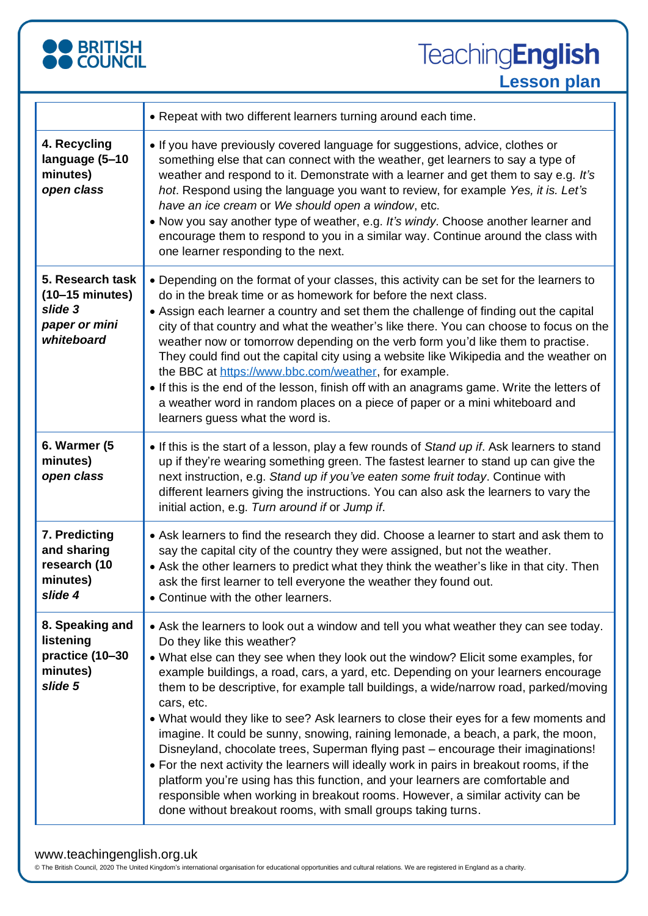

ī

**TeachingEnglish Lesson plan**

|                                                                                         | • Repeat with two different learners turning around each time.                                                                                                                                                                                                                                                                                                                                                                                                                                                                                                                                                                                                                                                                                                                                                                                                                                                                                                                                            |
|-----------------------------------------------------------------------------------------|-----------------------------------------------------------------------------------------------------------------------------------------------------------------------------------------------------------------------------------------------------------------------------------------------------------------------------------------------------------------------------------------------------------------------------------------------------------------------------------------------------------------------------------------------------------------------------------------------------------------------------------------------------------------------------------------------------------------------------------------------------------------------------------------------------------------------------------------------------------------------------------------------------------------------------------------------------------------------------------------------------------|
| 4. Recycling<br>language (5-10<br>minutes)<br>open class                                | . If you have previously covered language for suggestions, advice, clothes or<br>something else that can connect with the weather, get learners to say a type of<br>weather and respond to it. Demonstrate with a learner and get them to say e.g. It's<br>hot. Respond using the language you want to review, for example Yes, it is. Let's<br>have an ice cream or We should open a window, etc.<br>• Now you say another type of weather, e.g. It's windy. Choose another learner and<br>encourage them to respond to you in a similar way. Continue around the class with<br>one learner responding to the next.                                                                                                                                                                                                                                                                                                                                                                                      |
| 5. Research task<br>$(10-15 \text{ minutes})$<br>slide 3<br>paper or mini<br>whiteboard | • Depending on the format of your classes, this activity can be set for the learners to<br>do in the break time or as homework for before the next class.<br>• Assign each learner a country and set them the challenge of finding out the capital<br>city of that country and what the weather's like there. You can choose to focus on the<br>weather now or tomorrow depending on the verb form you'd like them to practise.<br>They could find out the capital city using a website like Wikipedia and the weather on<br>the BBC at https://www.bbc.com/weather, for example.<br>• If this is the end of the lesson, finish off with an anagrams game. Write the letters of<br>a weather word in random places on a piece of paper or a mini whiteboard and<br>learners guess what the word is.                                                                                                                                                                                                       |
| 6. Warmer (5<br>minutes)<br>open class                                                  | • If this is the start of a lesson, play a few rounds of Stand up if. Ask learners to stand<br>up if they're wearing something green. The fastest learner to stand up can give the<br>next instruction, e.g. Stand up if you've eaten some fruit today. Continue with<br>different learners giving the instructions. You can also ask the learners to vary the<br>initial action, e.g. Turn around if or Jump if.                                                                                                                                                                                                                                                                                                                                                                                                                                                                                                                                                                                         |
| 7. Predicting<br>and sharing<br>research (10<br>minutes)<br>slide 4                     | • Ask learners to find the research they did. Choose a learner to start and ask them to<br>say the capital city of the country they were assigned, but not the weather.<br>• Ask the other learners to predict what they think the weather's like in that city. Then<br>ask the first learner to tell everyone the weather they found out.<br>• Continue with the other learners.                                                                                                                                                                                                                                                                                                                                                                                                                                                                                                                                                                                                                         |
| 8. Speaking and<br>listening<br>practice (10-30<br>minutes)<br>slide 5                  | • Ask the learners to look out a window and tell you what weather they can see today.<br>Do they like this weather?<br>• What else can they see when they look out the window? Elicit some examples, for<br>example buildings, a road, cars, a yard, etc. Depending on your learners encourage<br>them to be descriptive, for example tall buildings, a wide/narrow road, parked/moving<br>cars, etc.<br>• What would they like to see? Ask learners to close their eyes for a few moments and<br>imagine. It could be sunny, snowing, raining lemonade, a beach, a park, the moon,<br>Disneyland, chocolate trees, Superman flying past - encourage their imaginations!<br>• For the next activity the learners will ideally work in pairs in breakout rooms, if the<br>platform you're using has this function, and your learners are comfortable and<br>responsible when working in breakout rooms. However, a similar activity can be<br>done without breakout rooms, with small groups taking turns. |

# www.teachingenglish.org.uk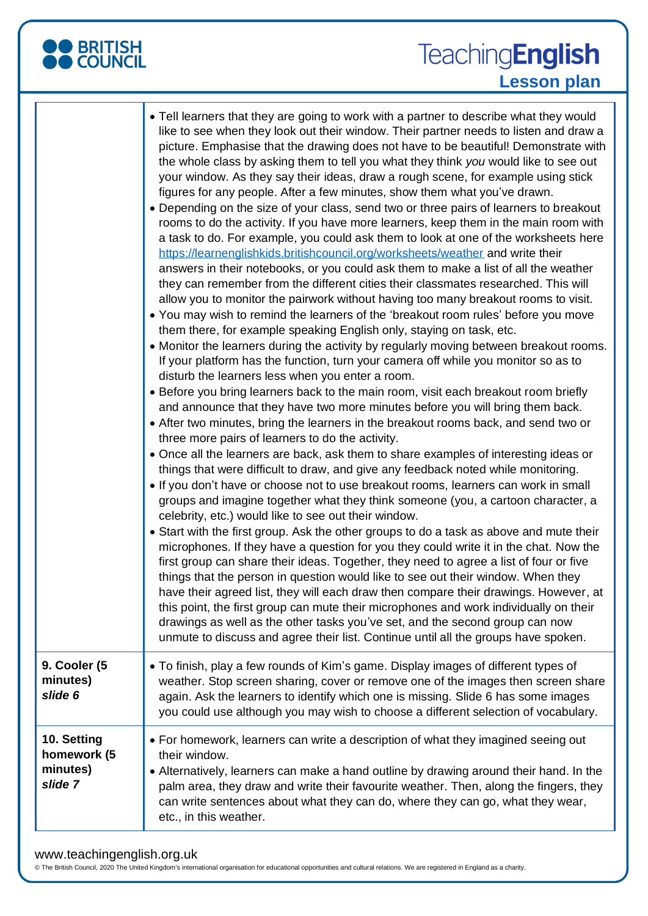# **OO BRITISH<br>OO COUNCIL**

# **TeachingEnglish Lesson plan**

|                                                   | • Tell learners that they are going to work with a partner to describe what they would<br>like to see when they look out their window. Their partner needs to listen and draw a<br>picture. Emphasise that the drawing does not have to be beautiful! Demonstrate with<br>the whole class by asking them to tell you what they think you would like to see out<br>your window. As they say their ideas, draw a rough scene, for example using stick<br>figures for any people. After a few minutes, show them what you've drawn.<br>• Depending on the size of your class, send two or three pairs of learners to breakout<br>rooms to do the activity. If you have more learners, keep them in the main room with<br>a task to do. For example, you could ask them to look at one of the worksheets here<br>https://learnenglishkids.britishcouncil.org/worksheets/weather and write their<br>answers in their notebooks, or you could ask them to make a list of all the weather<br>they can remember from the different cities their classmates researched. This will<br>allow you to monitor the pairwork without having too many breakout rooms to visit.<br>• You may wish to remind the learners of the 'breakout room rules' before you move<br>them there, for example speaking English only, staying on task, etc.<br>• Monitor the learners during the activity by regularly moving between breakout rooms.<br>If your platform has the function, turn your camera off while you monitor so as to |
|---------------------------------------------------|--------------------------------------------------------------------------------------------------------------------------------------------------------------------------------------------------------------------------------------------------------------------------------------------------------------------------------------------------------------------------------------------------------------------------------------------------------------------------------------------------------------------------------------------------------------------------------------------------------------------------------------------------------------------------------------------------------------------------------------------------------------------------------------------------------------------------------------------------------------------------------------------------------------------------------------------------------------------------------------------------------------------------------------------------------------------------------------------------------------------------------------------------------------------------------------------------------------------------------------------------------------------------------------------------------------------------------------------------------------------------------------------------------------------------------------------------------------------------------------------------------------|
|                                                   | disturb the learners less when you enter a room.<br>• Before you bring learners back to the main room, visit each breakout room briefly<br>and announce that they have two more minutes before you will bring them back.<br>• After two minutes, bring the learners in the breakout rooms back, and send two or<br>three more pairs of learners to do the activity.<br>• Once all the learners are back, ask them to share examples of interesting ideas or<br>things that were difficult to draw, and give any feedback noted while monitoring.<br>. If you don't have or choose not to use breakout rooms, learners can work in small<br>groups and imagine together what they think someone (you, a cartoon character, a<br>celebrity, etc.) would like to see out their window.<br>• Start with the first group. Ask the other groups to do a task as above and mute their<br>microphones. If they have a question for you they could write it in the chat. Now the<br>first group can share their ideas. Together, they need to agree a list of four or five<br>things that the person in question would like to see out their window. When they<br>have their agreed list, they will each draw then compare their drawings. However, at<br>this point, the first group can mute their microphones and work individually on their<br>drawings as well as the other tasks you've set, and the second group can now<br>unmute to discuss and agree their list. Continue until all the groups have spoken. |
| 9. Cooler (5<br>minutes)<br>slide 6               | • To finish, play a few rounds of Kim's game. Display images of different types of<br>weather. Stop screen sharing, cover or remove one of the images then screen share<br>again. Ask the learners to identify which one is missing. Slide 6 has some images<br>you could use although you may wish to choose a different selection of vocabulary.                                                                                                                                                                                                                                                                                                                                                                                                                                                                                                                                                                                                                                                                                                                                                                                                                                                                                                                                                                                                                                                                                                                                                           |
| 10. Setting<br>homework (5<br>minutes)<br>slide 7 | • For homework, learners can write a description of what they imagined seeing out<br>their window.<br>• Alternatively, learners can make a hand outline by drawing around their hand. In the<br>palm area, they draw and write their favourite weather. Then, along the fingers, they<br>can write sentences about what they can do, where they can go, what they wear,<br>etc., in this weather.                                                                                                                                                                                                                                                                                                                                                                                                                                                                                                                                                                                                                                                                                                                                                                                                                                                                                                                                                                                                                                                                                                            |

# www.teachingenglish.org.uk